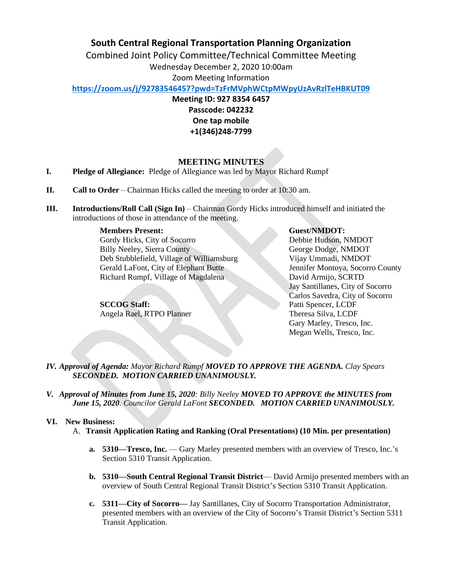# **South Central Regional Transportation Planning Organization**

Combined Joint Policy Committee/Technical Committee Meeting Wednesday December 2, 2020 10:00am Zoom Meeting Information

**<https://zoom.us/j/92783546457?pwd=TzFrMVphWCtpMWpyUzAvRzlTeHBKUT09>**

**Meeting ID: 927 8354 6457 Passcode: 042232 One tap mobile +1(346)248-7799**

## **MEETING MINUTES**

- **I. Pledge of Allegiance:** Pledge of Allegiance was led by Mayor Richard Rumpf
- **II. Call to Order** Chairman Hicks called the meeting to order at 10:30 am.
- **III. Introductions/Roll Call (Sign In)** Chairman Gordy Hicks introduced himself and initiated the introductions of those in attendance of the meeting.

**Members Present:** 

Gordy Hicks, City of Socorro Billy Neeley, Sierra County Deb Stubblefield, Village of Williamsburg Gerald LaFont, City of Elephant Butte Richard Rumpf, Village of Magdalena

**SCCOG Staff:** Angela Rael, RTPO Planner  **Guest/NMDOT:** Debbie Hudson, NMDOT George Dodge, NMDOT Vijay Ummadi, NMDOT Jennifer Montoya, Socorro County David Armijo, SCRTD Jay Santillanes, City of Socorro Carlos Savedra, City of Socorro Patti Spencer, LCDF Theresa Silva, LCDF Gary Marley, Tresco, Inc. Megan Wells, Tresco, Inc.

*IV. Approval of Agenda: Mayor Richard Rumpf MOVED TO APPROVE THE AGENDA. Clay Spears SECONDED. MOTION CARRIED UNANIMOUSLY.*

*V. Approval of Minutes from June 15, 2020: Billy Neeley MOVED TO APPROVE the MINUTES from June 15, 2020. Councilor Gerald LaFont SECONDED. MOTION CARRIED UNANIMOUSLY.*

### **VI.****New Business:**

- A. **Transit Application Rating and Ranking (Oral Presentations) (10 Min. per presentation)**
	- **a. 5310—Tresco, Inc.**  Gary Marley presented members with an overview of Tresco, Inc.'s Section 5310 Transit Application.
	- **b. 5310—South Central Regional Transit District** David Armijo presented members with an overview of South Central Regional Transit District's Section 5310 Transit Application.
	- **c. 5311—City of Socorro—** Jay Santillanes, City of Socorro Transportation Administrator, presented members with an overview of the City of Socorro's Transit District's Section 5311 Transit Application.